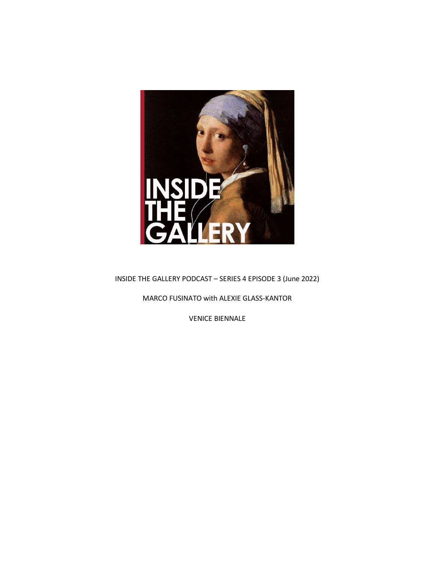

INSIDE THE GALLERY PODCAST – SERIES 4 EPISODE 3 (June 2022)

MARCO FUSINATO with ALEXIE GLASS-KANTOR

VENICE BIENNALE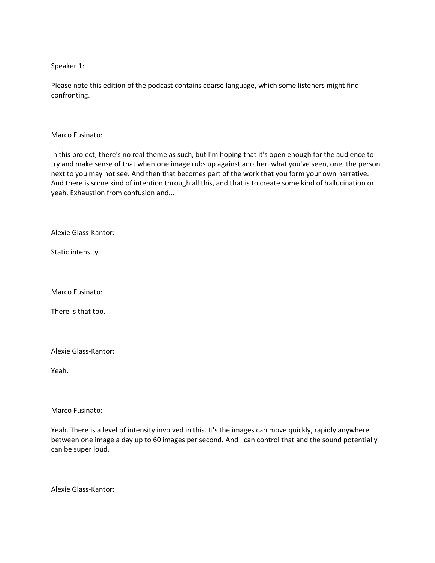Speaker 1:

Please note this edition of the podcast contains coarse language, which some listeners might find confronting.

Marco Fusinato:

In this project, there's no real theme as such, but I'm hoping that it's open enough for the audience to try and make sense of that when one image rubs up against another, what you've seen, one, the person next to you may not see. And then that becomes part of the work that you form your own narrative. And there is some kind of intention through all this, and that is to create some kind of hallucination or yeah. Exhaustion from confusion and...

Alexie Glass-Kantor:

Static intensity.

Marco Fusinato:

There is that too.

Alexie Glass-Kantor:

Yeah.

Marco Fusinato:

Yeah. There is a level of intensity involved in this. It's the images can move quickly, rapidly anywhere between one image a day up to 60 images per second. And I can control that and the sound potentially can be super loud.

Alexie Glass-Kantor: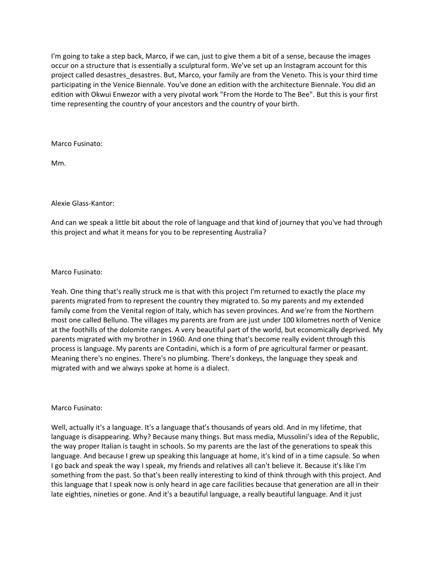I'm going to take a step back, Marco, if we can, just to give them a bit of a sense, because the images occur on a structure that is essentially a sculptural form. We've set up an Instagram account for this project called desastres\_desastres. But, Marco, your family are from the Veneto. This is your third time participating in the Venice Biennale. You've done an edition with the architecture Biennale. You did an edition with Okwui Enwezor with a very pivotal work "From the Horde to The Bee". But this is your first time representing the country of your ancestors and the country of your birth.

Marco Fusinato:

Mm.

# Alexie Glass-Kantor:

And can we speak a little bit about the role of language and that kind of journey that you've had through this project and what it means for you to be representing Australia?

## Marco Fusinato:

Yeah. One thing that's really struck me is that with this project I'm returned to exactly the place my parents migrated from to represent the country they migrated to. So my parents and my extended family come from the Venital region of Italy, which has seven provinces. And we're from the Northern most one called Belluno. The villages my parents are from are just under 100 kilometres north of Venice at the foothills of the dolomite ranges. A very beautiful part of the world, but economically deprived. My parents migrated with my brother in 1960. And one thing that's become really evident through this process is language. My parents are Contadini, which is a form of pre agricultural farmer or peasant. Meaning there's no engines. There's no plumbing. There's donkeys, the language they speak and migrated with and we always spoke at home is a dialect.

### Marco Fusinato:

Well, actually it's a language. It's a language that's thousands of years old. And in my lifetime, that language is disappearing. Why? Because many things. But mass media, Mussolini's idea of the Republic, the way proper Italian is taught in schools. So my parents are the last of the generations to speak this language. And because I grew up speaking this language at home, it's kind of in a time capsule. So when I go back and speak the way I speak, my friends and relatives all can't believe it. Because it's like I'm something from the past. So that's been really interesting to kind of think through with this project. And this language that I speak now is only heard in age care facilities because that generation are all in their late eighties, nineties or gone. And it's a beautiful language, a really beautiful language. And it just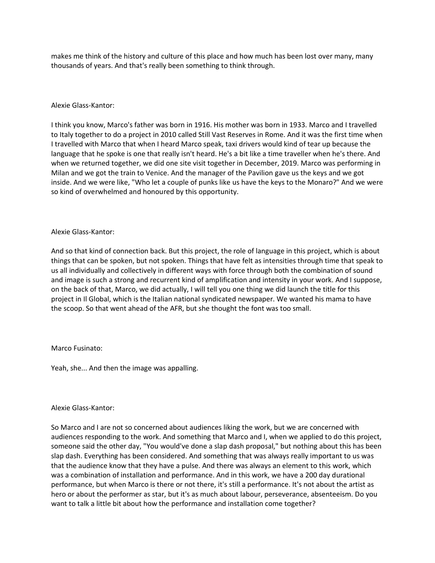makes me think of the history and culture of this place and how much has been lost over many, many thousands of years. And that's really been something to think through.

## Alexie Glass-Kantor:

I think you know, Marco's father was born in 1916. His mother was born in 1933. Marco and I travelled to Italy together to do a project in 2010 called Still Vast Reserves in Rome. And it was the first time when I travelled with Marco that when I heard Marco speak, taxi drivers would kind of tear up because the language that he spoke is one that really isn't heard. He's a bit like a time traveller when he's there. And when we returned together, we did one site visit together in December, 2019. Marco was performing in Milan and we got the train to Venice. And the manager of the Pavilion gave us the keys and we got inside. And we were like, "Who let a couple of punks like us have the keys to the Monaro?" And we were so kind of overwhelmed and honoured by this opportunity.

### Alexie Glass-Kantor:

And so that kind of connection back. But this project, the role of language in this project, which is about things that can be spoken, but not spoken. Things that have felt as intensities through time that speak to us all individually and collectively in different ways with force through both the combination of sound and image is such a strong and recurrent kind of amplification and intensity in your work. And I suppose, on the back of that, Marco, we did actually, I will tell you one thing we did launch the title for this project in Il Global, which is the Italian national syndicated newspaper. We wanted his mama to have the scoop. So that went ahead of the AFR, but she thought the font was too small.

# Marco Fusinato:

Yeah, she... And then the image was appalling.

### Alexie Glass-Kantor:

So Marco and I are not so concerned about audiences liking the work, but we are concerned with audiences responding to the work. And something that Marco and I, when we applied to do this project, someone said the other day, "You would've done a slap dash proposal," but nothing about this has been slap dash. Everything has been considered. And something that was always really important to us was that the audience know that they have a pulse. And there was always an element to this work, which was a combination of installation and performance. And in this work, we have a 200 day durational performance, but when Marco is there or not there, it's still a performance. It's not about the artist as hero or about the performer as star, but it's as much about labour, perseverance, absenteeism. Do you want to talk a little bit about how the performance and installation come together?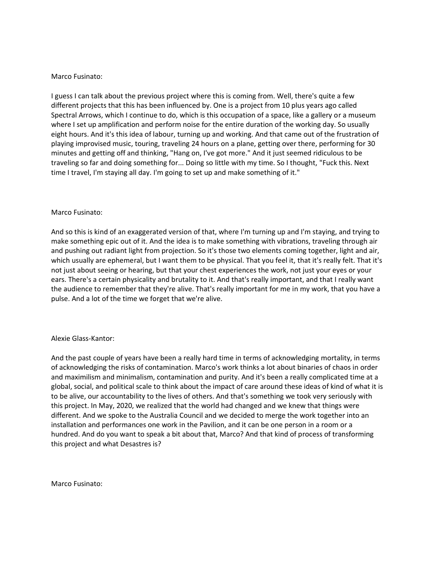## Marco Fusinato:

I guess I can talk about the previous project where this is coming from. Well, there's quite a few different projects that this has been influenced by. One is a project from 10 plus years ago called Spectral Arrows, which I continue to do, which is this occupation of a space, like a gallery or a museum where I set up amplification and perform noise for the entire duration of the working day. So usually eight hours. And it's this idea of labour, turning up and working. And that came out of the frustration of playing improvised music, touring, traveling 24 hours on a plane, getting over there, performing for 30 minutes and getting off and thinking, "Hang on, I've got more." And it just seemed ridiculous to be traveling so far and doing something for... Doing so little with my time. So I thought, "Fuck this. Next time I travel, I'm staying all day. I'm going to set up and make something of it."

## Marco Fusinato:

And so this is kind of an exaggerated version of that, where I'm turning up and I'm staying, and trying to make something epic out of it. And the idea is to make something with vibrations, traveling through air and pushing out radiant light from projection. So it's those two elements coming together, light and air, which usually are ephemeral, but I want them to be physical. That you feel it, that it's really felt. That it's not just about seeing or hearing, but that your chest experiences the work, not just your eyes or your ears. There's a certain physicality and brutality to it. And that's really important, and that I really want the audience to remember that they're alive. That's really important for me in my work, that you have a pulse. And a lot of the time we forget that we're alive.

### Alexie Glass-Kantor:

And the past couple of years have been a really hard time in terms of acknowledging mortality, in terms of acknowledging the risks of contamination. Marco's work thinks a lot about binaries of chaos in order and maximilism and minimalism, contamination and purity. And it's been a really complicated time at a global, social, and political scale to think about the impact of care around these ideas of kind of what it is to be alive, our accountability to the lives of others. And that's something we took very seriously with this project. In May, 2020, we realized that the world had changed and we knew that things were different. And we spoke to the Australia Council and we decided to merge the work together into an installation and performances one work in the Pavilion, and it can be one person in a room or a hundred. And do you want to speak a bit about that, Marco? And that kind of process of transforming this project and what Desastres is?

Marco Fusinato: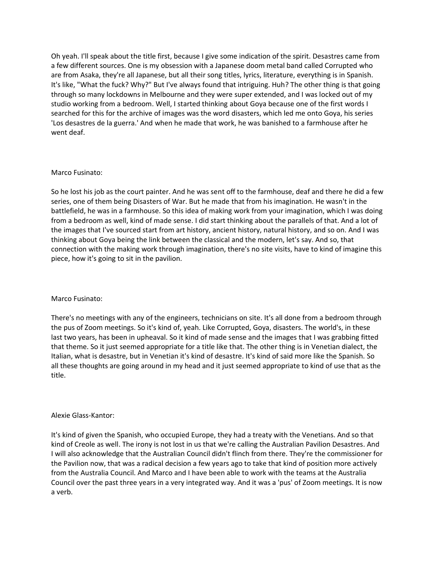Oh yeah. I'll speak about the title first, because I give some indication of the spirit. Desastres came from a few different sources. One is my obsession with a Japanese doom metal band called Corrupted who are from Asaka, they're all Japanese, but all their song titles, lyrics, literature, everything is in Spanish. It's like, "What the fuck? Why?" But I've always found that intriguing. Huh? The other thing is that going through so many lockdowns in Melbourne and they were super extended, and I was locked out of my studio working from a bedroom. Well, I started thinking about Goya because one of the first words I searched for this for the archive of images was the word disasters, which led me onto Goya, his series 'Los desastres de la guerra.' And when he made that work, he was banished to a farmhouse after he went deaf.

## Marco Fusinato:

So he lost his job as the court painter. And he was sent off to the farmhouse, deaf and there he did a few series, one of them being Disasters of War. But he made that from his imagination. He wasn't in the battlefield, he was in a farmhouse. So this idea of making work from your imagination, which I was doing from a bedroom as well, kind of made sense. I did start thinking about the parallels of that. And a lot of the images that I've sourced start from art history, ancient history, natural history, and so on. And I was thinking about Goya being the link between the classical and the modern, let's say. And so, that connection with the making work through imagination, there's no site visits, have to kind of imagine this piece, how it's going to sit in the pavilion.

# Marco Fusinato:

There's no meetings with any of the engineers, technicians on site. It's all done from a bedroom through the pus of Zoom meetings. So it's kind of, yeah. Like Corrupted, Goya, disasters. The world's, in these last two years, has been in upheaval. So it kind of made sense and the images that I was grabbing fitted that theme. So it just seemed appropriate for a title like that. The other thing is in Venetian dialect, the Italian, what is desastre, but in Venetian it's kind of desastre. It's kind of said more like the Spanish. So all these thoughts are going around in my head and it just seemed appropriate to kind of use that as the title.

### Alexie Glass-Kantor:

It's kind of given the Spanish, who occupied Europe, they had a treaty with the Venetians. And so that kind of Creole as well. The irony is not lost in us that we're calling the Australian Pavilion Desastres. And I will also acknowledge that the Australian Council didn't flinch from there. They're the commissioner for the Pavilion now, that was a radical decision a few years ago to take that kind of position more actively from the Australia Council. And Marco and I have been able to work with the teams at the Australia Council over the past three years in a very integrated way. And it was a 'pus' of Zoom meetings. It is now a verb.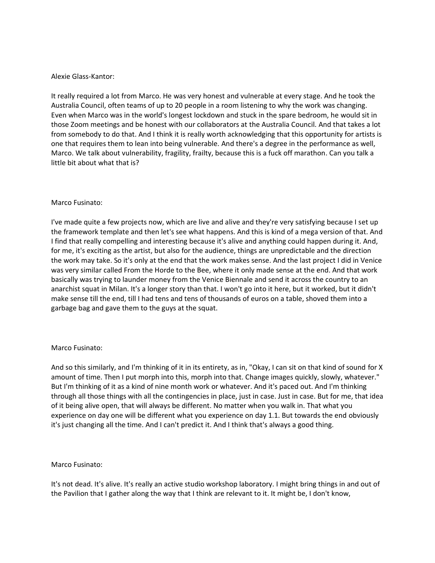## Alexie Glass-Kantor:

It really required a lot from Marco. He was very honest and vulnerable at every stage. And he took the Australia Council, often teams of up to 20 people in a room listening to why the work was changing. Even when Marco was in the world's longest lockdown and stuck in the spare bedroom, he would sit in those Zoom meetings and be honest with our collaborators at the Australia Council. And that takes a lot from somebody to do that. And I think it is really worth acknowledging that this opportunity for artists is one that requires them to lean into being vulnerable. And there's a degree in the performance as well, Marco. We talk about vulnerability, fragility, frailty, because this is a fuck off marathon. Can you talk a little bit about what that is?

## Marco Fusinato:

I've made quite a few projects now, which are live and alive and they're very satisfying because I set up the framework template and then let's see what happens. And this is kind of a mega version of that. And I find that really compelling and interesting because it's alive and anything could happen during it. And, for me, it's exciting as the artist, but also for the audience, things are unpredictable and the direction the work may take. So it's only at the end that the work makes sense. And the last project I did in Venice was very similar called From the Horde to the Bee, where it only made sense at the end. And that work basically was trying to launder money from the Venice Biennale and send it across the country to an anarchist squat in Milan. It's a longer story than that. I won't go into it here, but it worked, but it didn't make sense till the end, till I had tens and tens of thousands of euros on a table, shoved them into a garbage bag and gave them to the guys at the squat.

# Marco Fusinato:

And so this similarly, and I'm thinking of it in its entirety, as in, "Okay, I can sit on that kind of sound for X amount of time. Then I put morph into this, morph into that. Change images quickly, slowly, whatever." But I'm thinking of it as a kind of nine month work or whatever. And it's paced out. And I'm thinking through all those things with all the contingencies in place, just in case. Just in case. But for me, that idea of it being alive open, that will always be different. No matter when you walk in. That what you experience on day one will be different what you experience on day 1.1. But towards the end obviously it's just changing all the time. And I can't predict it. And I think that's always a good thing.

### Marco Fusinato:

It's not dead. It's alive. It's really an active studio workshop laboratory. I might bring things in and out of the Pavilion that I gather along the way that I think are relevant to it. It might be, I don't know,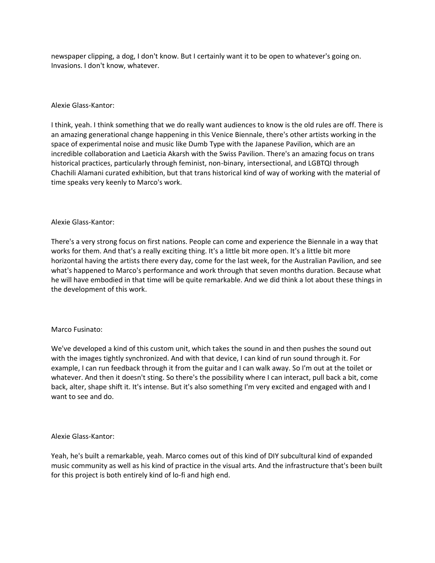newspaper clipping, a dog, I don't know. But I certainly want it to be open to whatever's going on. Invasions. I don't know, whatever.

# Alexie Glass-Kantor:

I think, yeah. I think something that we do really want audiences to know is the old rules are off. There is an amazing generational change happening in this Venice Biennale, there's other artists working in the space of experimental noise and music like Dumb Type with the Japanese Pavilion, which are an incredible collaboration and Laeticia Akarsh with the Swiss Pavilion. There's an amazing focus on trans historical practices, particularly through feminist, non-binary, intersectional, and LGBTQI through Chachili Alamani curated exhibition, but that trans historical kind of way of working with the material of time speaks very keenly to Marco's work.

## Alexie Glass-Kantor:

There's a very strong focus on first nations. People can come and experience the Biennale in a way that works for them. And that's a really exciting thing. It's a little bit more open. It's a little bit more horizontal having the artists there every day, come for the last week, for the Australian Pavilion, and see what's happened to Marco's performance and work through that seven months duration. Because what he will have embodied in that time will be quite remarkable. And we did think a lot about these things in the development of this work.

# Marco Fusinato:

We've developed a kind of this custom unit, which takes the sound in and then pushes the sound out with the images tightly synchronized. And with that device, I can kind of run sound through it. For example, I can run feedback through it from the guitar and I can walk away. So I'm out at the toilet or whatever. And then it doesn't sting. So there's the possibility where I can interact, pull back a bit, come back, alter, shape shift it. It's intense. But it's also something I'm very excited and engaged with and I want to see and do.

### Alexie Glass-Kantor:

Yeah, he's built a remarkable, yeah. Marco comes out of this kind of DIY subcultural kind of expanded music community as well as his kind of practice in the visual arts. And the infrastructure that's been built for this project is both entirely kind of lo-fi and high end.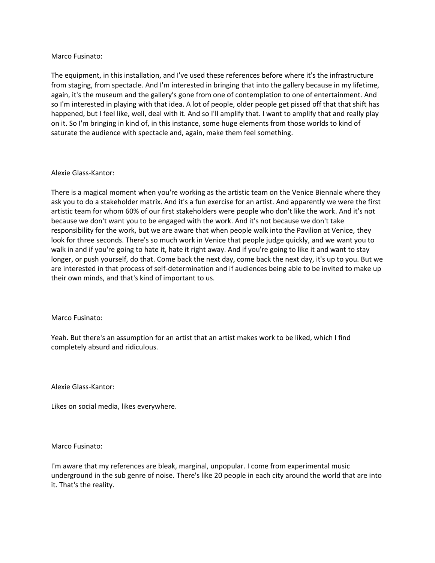## Marco Fusinato:

The equipment, in this installation, and I've used these references before where it's the infrastructure from staging, from spectacle. And I'm interested in bringing that into the gallery because in my lifetime, again, it's the museum and the gallery's gone from one of contemplation to one of entertainment. And so I'm interested in playing with that idea. A lot of people, older people get pissed off that that shift has happened, but I feel like, well, deal with it. And so I'll amplify that. I want to amplify that and really play on it. So I'm bringing in kind of, in this instance, some huge elements from those worlds to kind of saturate the audience with spectacle and, again, make them feel something.

## Alexie Glass-Kantor:

There is a magical moment when you're working as the artistic team on the Venice Biennale where they ask you to do a stakeholder matrix. And it's a fun exercise for an artist. And apparently we were the first artistic team for whom 60% of our first stakeholders were people who don't like the work. And it's not because we don't want you to be engaged with the work. And it's not because we don't take responsibility for the work, but we are aware that when people walk into the Pavilion at Venice, they look for three seconds. There's so much work in Venice that people judge quickly, and we want you to walk in and if you're going to hate it, hate it right away. And if you're going to like it and want to stay longer, or push yourself, do that. Come back the next day, come back the next day, it's up to you. But we are interested in that process of self-determination and if audiences being able to be invited to make up their own minds, and that's kind of important to us.

# Marco Fusinato:

Yeah. But there's an assumption for an artist that an artist makes work to be liked, which I find completely absurd and ridiculous.

Alexie Glass-Kantor:

Likes on social media, likes everywhere.

### Marco Fusinato:

I'm aware that my references are bleak, marginal, unpopular. I come from experimental music underground in the sub genre of noise. There's like 20 people in each city around the world that are into it. That's the reality.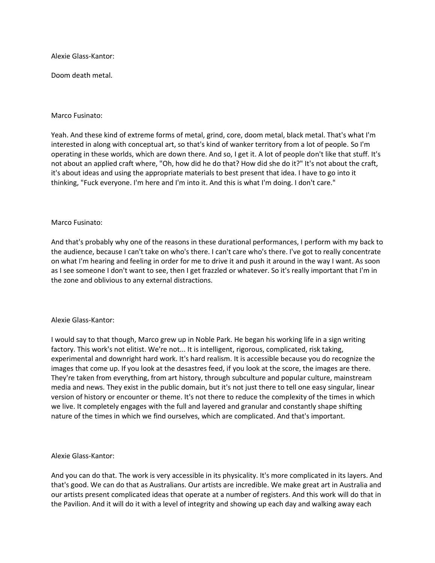Alexie Glass-Kantor:

Doom death metal.

## Marco Fusinato:

Yeah. And these kind of extreme forms of metal, grind, core, doom metal, black metal. That's what I'm interested in along with conceptual art, so that's kind of wanker territory from a lot of people. So I'm operating in these worlds, which are down there. And so, I get it. A lot of people don't like that stuff. It's not about an applied craft where, "Oh, how did he do that? How did she do it?" It's not about the craft, it's about ideas and using the appropriate materials to best present that idea. I have to go into it thinking, "Fuck everyone. I'm here and I'm into it. And this is what I'm doing. I don't care."

## Marco Fusinato:

And that's probably why one of the reasons in these durational performances, I perform with my back to the audience, because I can't take on who's there. I can't care who's there. I've got to really concentrate on what I'm hearing and feeling in order for me to drive it and push it around in the way I want. As soon as I see someone I don't want to see, then I get frazzled or whatever. So it's really important that I'm in the zone and oblivious to any external distractions.

### Alexie Glass-Kantor:

I would say to that though, Marco grew up in Noble Park. He began his working life in a sign writing factory. This work's not elitist. We're not... It is intelligent, rigorous, complicated, risk taking, experimental and downright hard work. It's hard realism. It is accessible because you do recognize the images that come up. If you look at the desastres feed, if you look at the score, the images are there. They're taken from everything, from art history, through subculture and popular culture, mainstream media and news. They exist in the public domain, but it's not just there to tell one easy singular, linear version of history or encounter or theme. It's not there to reduce the complexity of the times in which we live. It completely engages with the full and layered and granular and constantly shape shifting nature of the times in which we find ourselves, which are complicated. And that's important.

### Alexie Glass-Kantor:

And you can do that. The work is very accessible in its physicality. It's more complicated in its layers. And that's good. We can do that as Australians. Our artists are incredible. We make great art in Australia and our artists present complicated ideas that operate at a number of registers. And this work will do that in the Pavilion. And it will do it with a level of integrity and showing up each day and walking away each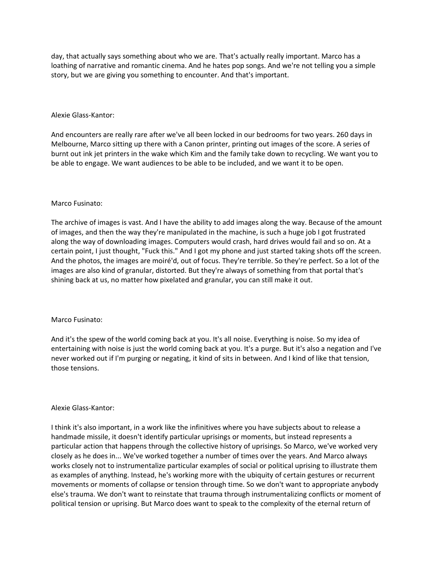day, that actually says something about who we are. That's actually really important. Marco has a loathing of narrative and romantic cinema. And he hates pop songs. And we're not telling you a simple story, but we are giving you something to encounter. And that's important.

## Alexie Glass-Kantor:

And encounters are really rare after we've all been locked in our bedrooms for two years. 260 days in Melbourne, Marco sitting up there with a Canon printer, printing out images of the score. A series of burnt out ink jet printers in the wake which Kim and the family take down to recycling. We want you to be able to engage. We want audiences to be able to be included, and we want it to be open.

## Marco Fusinato:

The archive of images is vast. And I have the ability to add images along the way. Because of the amount of images, and then the way they're manipulated in the machine, is such a huge job I got frustrated along the way of downloading images. Computers would crash, hard drives would fail and so on. At a certain point, I just thought, "Fuck this." And I got my phone and just started taking shots off the screen. And the photos, the images are moiré'd, out of focus. They're terrible. So they're perfect. So a lot of the images are also kind of granular, distorted. But they're always of something from that portal that's shining back at us, no matter how pixelated and granular, you can still make it out.

### Marco Fusinato:

And it's the spew of the world coming back at you. It's all noise. Everything is noise. So my idea of entertaining with noise is just the world coming back at you. It's a purge. But it's also a negation and I've never worked out if I'm purging or negating, it kind of sits in between. And I kind of like that tension, those tensions.

### Alexie Glass-Kantor:

I think it's also important, in a work like the infinitives where you have subjects about to release a handmade missile, it doesn't identify particular uprisings or moments, but instead represents a particular action that happens through the collective history of uprisings. So Marco, we've worked very closely as he does in... We've worked together a number of times over the years. And Marco always works closely not to instrumentalize particular examples of social or political uprising to illustrate them as examples of anything. Instead, he's working more with the ubiquity of certain gestures or recurrent movements or moments of collapse or tension through time. So we don't want to appropriate anybody else's trauma. We don't want to reinstate that trauma through instrumentalizing conflicts or moment of political tension or uprising. But Marco does want to speak to the complexity of the eternal return of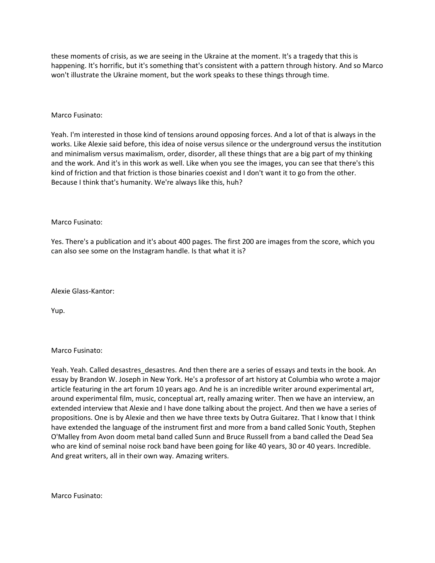these moments of crisis, as we are seeing in the Ukraine at the moment. It's a tragedy that this is happening. It's horrific, but it's something that's consistent with a pattern through history. And so Marco won't illustrate the Ukraine moment, but the work speaks to these things through time.

## Marco Fusinato:

Yeah. I'm interested in those kind of tensions around opposing forces. And a lot of that is always in the works. Like Alexie said before, this idea of noise versus silence or the underground versus the institution and minimalism versus maximalism, order, disorder, all these things that are a big part of my thinking and the work. And it's in this work as well. Like when you see the images, you can see that there's this kind of friction and that friction is those binaries coexist and I don't want it to go from the other. Because I think that's humanity. We're always like this, huh?

### Marco Fusinato:

Yes. There's a publication and it's about 400 pages. The first 200 are images from the score, which you can also see some on the Instagram handle. Is that what it is?

Alexie Glass-Kantor:

Yup.

### Marco Fusinato:

Yeah. Yeah. Called desastres\_desastres. And then there are a series of essays and texts in the book. An essay by Brandon W. Joseph in New York. He's a professor of art history at Columbia who wrote a major article featuring in the art forum 10 years ago. And he is an incredible writer around experimental art, around experimental film, music, conceptual art, really amazing writer. Then we have an interview, an extended interview that Alexie and I have done talking about the project. And then we have a series of propositions. One is by Alexie and then we have three texts by Outra Guitarez. That I know that I think have extended the language of the instrument first and more from a band called Sonic Youth, Stephen O'Malley from Avon doom metal band called Sunn and Bruce Russell from a band called the Dead Sea who are kind of seminal noise rock band have been going for like 40 years, 30 or 40 years. Incredible. And great writers, all in their own way. Amazing writers.

Marco Fusinato: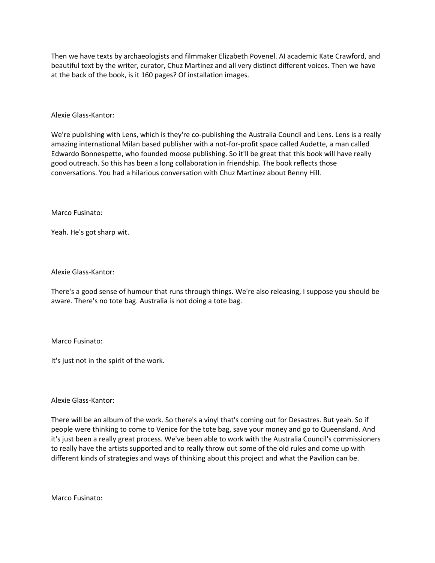Then we have texts by archaeologists and filmmaker Elizabeth Povenel. AI academic Kate Crawford, and beautiful text by the writer, curator, Chuz Martinez and all very distinct different voices. Then we have at the back of the book, is it 160 pages? Of installation images.

Alexie Glass-Kantor:

We're publishing with Lens, which is they're co-publishing the Australia Council and Lens. Lens is a really amazing international Milan based publisher with a not-for-profit space called Audette, a man called Edwardo Bonnespette, who founded moose publishing. So it'll be great that this book will have really good outreach. So this has been a long collaboration in friendship. The book reflects those conversations. You had a hilarious conversation with Chuz Martinez about Benny Hill.

Marco Fusinato:

Yeah. He's got sharp wit.

Alexie Glass-Kantor:

There's a good sense of humour that runs through things. We're also releasing, I suppose you should be aware. There's no tote bag. Australia is not doing a tote bag.

Marco Fusinato:

It's just not in the spirit of the work.

Alexie Glass-Kantor:

There will be an album of the work. So there's a vinyl that's coming out for Desastres. But yeah. So if people were thinking to come to Venice for the tote bag, save your money and go to Queensland. And it's just been a really great process. We've been able to work with the Australia Council's commissioners to really have the artists supported and to really throw out some of the old rules and come up with different kinds of strategies and ways of thinking about this project and what the Pavilion can be.

Marco Fusinato: